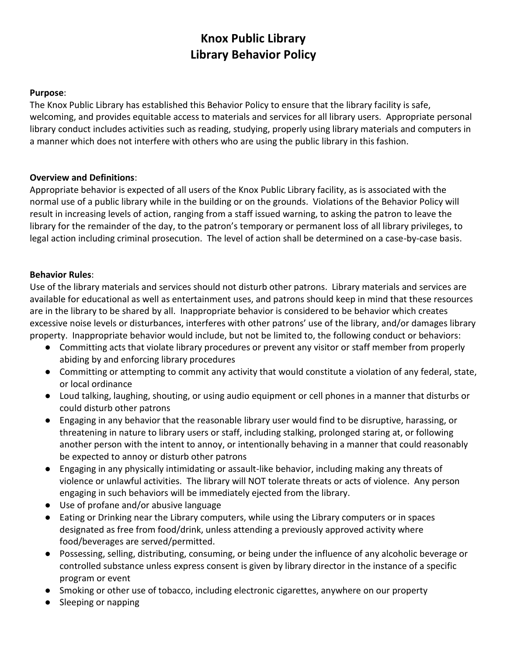# **Knox Public Library Library Behavior Policy**

#### **Purpose**:

The Knox Public Library has established this Behavior Policy to ensure that the library facility is safe, welcoming, and provides equitable access to materials and services for all library users. Appropriate personal library conduct includes activities such as reading, studying, properly using library materials and computers in a manner which does not interfere with others who are using the public library in this fashion.

### **Overview and Definitions**:

Appropriate behavior is expected of all users of the Knox Public Library facility, as is associated with the normal use of a public library while in the building or on the grounds. Violations of the Behavior Policy will result in increasing levels of action, ranging from a staff issued warning, to asking the patron to leave the library for the remainder of the day, to the patron's temporary or permanent loss of all library privileges, to legal action including criminal prosecution. The level of action shall be determined on a case-by-case basis.

#### **Behavior Rules**:

Use of the library materials and services should not disturb other patrons. Library materials and services are available for educational as well as entertainment uses, and patrons should keep in mind that these resources are in the library to be shared by all. Inappropriate behavior is considered to be behavior which creates excessive noise levels or disturbances, interferes with other patrons' use of the library, and/or damages library property. Inappropriate behavior would include, but not be limited to, the following conduct or behaviors:

- Committing acts that violate library procedures or prevent any visitor or staff member from properly abiding by and enforcing library procedures
- Committing or attempting to commit any activity that would constitute a violation of any federal, state, or local ordinance
- Loud talking, laughing, shouting, or using audio equipment or cell phones in a manner that disturbs or could disturb other patrons
- Engaging in any behavior that the reasonable library user would find to be disruptive, harassing, or threatening in nature to library users or staff, including stalking, prolonged staring at, or following another person with the intent to annoy, or intentionally behaving in a manner that could reasonably be expected to annoy or disturb other patrons
- Engaging in any physically intimidating or assault-like behavior, including making any threats of violence or unlawful activities. The library will NOT tolerate threats or acts of violence. Any person engaging in such behaviors will be immediately ejected from the library.
- Use of profane and/or abusive language
- Eating or Drinking near the Library computers, while using the Library computers or in spaces designated as free from food/drink, unless attending a previously approved activity where food/beverages are served/permitted.
- Possessing, selling, distributing, consuming, or being under the influence of any alcoholic beverage or controlled substance unless express consent is given by library director in the instance of a specific program or event
- Smoking or other use of tobacco, including electronic cigarettes, anywhere on our property
- Sleeping or napping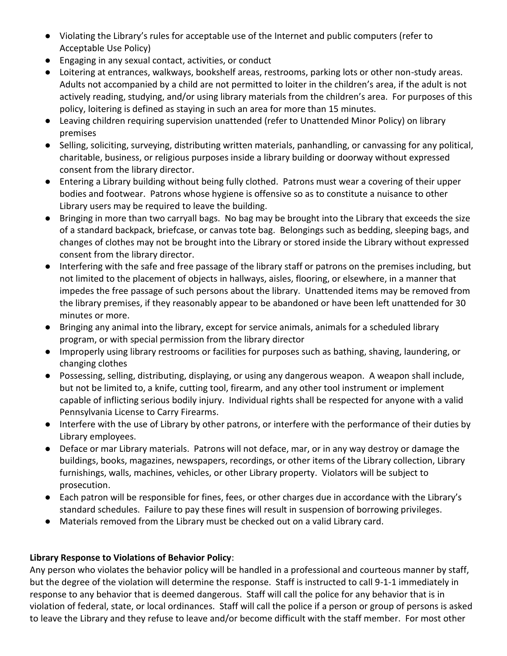- Violating the Library's rules for acceptable use of the Internet and public computers (refer to Acceptable Use Policy)
- Engaging in any sexual contact, activities, or conduct
- Loitering at entrances, walkways, bookshelf areas, restrooms, parking lots or other non-study areas. Adults not accompanied by a child are not permitted to loiter in the children's area, if the adult is not actively reading, studying, and/or using library materials from the children's area. For purposes of this policy, loitering is defined as staying in such an area for more than 15 minutes.
- Leaving children requiring supervision unattended (refer to Unattended Minor Policy) on library premises
- Selling, soliciting, surveying, distributing written materials, panhandling, or canvassing for any political, charitable, business, or religious purposes inside a library building or doorway without expressed consent from the library director.
- Entering a Library building without being fully clothed. Patrons must wear a covering of their upper bodies and footwear. Patrons whose hygiene is offensive so as to constitute a nuisance to other Library users may be required to leave the building.
- Bringing in more than two carryall bags. No bag may be brought into the Library that exceeds the size of a standard backpack, briefcase, or canvas tote bag. Belongings such as bedding, sleeping bags, and changes of clothes may not be brought into the Library or stored inside the Library without expressed consent from the library director.
- Interfering with the safe and free passage of the library staff or patrons on the premises including, but not limited to the placement of objects in hallways, aisles, flooring, or elsewhere, in a manner that impedes the free passage of such persons about the library. Unattended items may be removed from the library premises, if they reasonably appear to be abandoned or have been left unattended for 30 minutes or more.
- Bringing any animal into the library, except for service animals, animals for a scheduled library program, or with special permission from the library director
- Improperly using library restrooms or facilities for purposes such as bathing, shaving, laundering, or changing clothes
- Possessing, selling, distributing, displaying, or using any dangerous weapon. A weapon shall include, but not be limited to, a knife, cutting tool, firearm, and any other tool instrument or implement capable of inflicting serious bodily injury. Individual rights shall be respected for anyone with a valid Pennsylvania License to Carry Firearms.
- Interfere with the use of Library by other patrons, or interfere with the performance of their duties by Library employees.
- Deface or mar Library materials. Patrons will not deface, mar, or in any way destroy or damage the buildings, books, magazines, newspapers, recordings, or other items of the Library collection, Library furnishings, walls, machines, vehicles, or other Library property. Violators will be subject to prosecution.
- Each patron will be responsible for fines, fees, or other charges due in accordance with the Library's standard schedules. Failure to pay these fines will result in suspension of borrowing privileges.
- Materials removed from the Library must be checked out on a valid Library card.

# **Library Response to Violations of Behavior Policy**:

Any person who violates the behavior policy will be handled in a professional and courteous manner by staff, but the degree of the violation will determine the response. Staff is instructed to call 9-1-1 immediately in response to any behavior that is deemed dangerous. Staff will call the police for any behavior that is in violation of federal, state, or local ordinances. Staff will call the police if a person or group of persons is asked to leave the Library and they refuse to leave and/or become difficult with the staff member. For most other